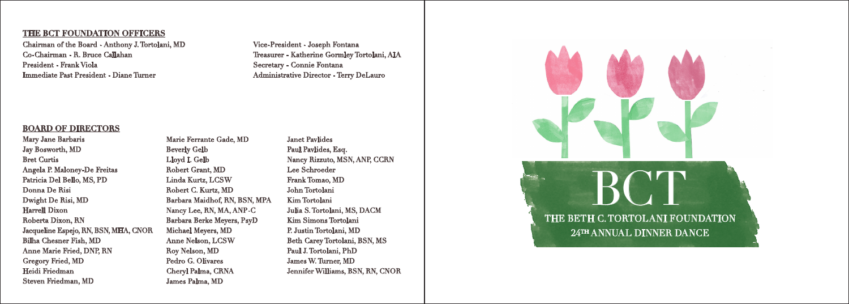## **THE BCT FOUNDATION OFFICERS**

Chairman of the Board - Anthony J. Tortolani, MD Co-Chairman - R. Bruce Callahan President - Frank Viola Immediate Past President - Diane Turner

## **BOARD OF DIRECTORS**

Mary Jane Barbaris Jay Bosworth, MD Bret Curtis Angela P. Maloney-De Freitas Patricia Del Bello, MS, PD Donna De Risi Dwight De Risi, MD Harrell Dixon Roberta Dixon, RN Jacqueline Espejo, RN, BSN, MHA, CNOR Bilha Chesner Fish, MD Anne Marie Fried, DNP, RN Gregory Fried, MD Heidi Friedman Steven Friedman, MD

Marie Ferrante Gade, MD Beverly Gelb Lloyd I. Gelb Robert Grant, MD Linda Kurtz, LCSW Robert C. Kurtz, MD Barbara Maidhof, RN, BSN, MPA Nancy Lee, RN, MA, ANP-C Barbara Berke Meyers, PsyD Michael Meyers, MD Anne Nelson, LCSW Roy Nelson, MD Pedro G. Olivares Cheryl Palma, CRNA James Palma, MD

Janet Pavlides Paul Pavlides, Esq. Nancy Rizzuto, MSN, ANP, CCRN Lee Schroeder Frank Tomao, MD John Tortolani Kim Tortolani Julia S. Tortolani, MS, DACM Kim Simons Tortolani P. Justin Tortolani, MD Beth Carey Tortolani, BSN, MS Paul J. Tortolani, PhD James W. Turner, MD Jennifer Williams, BSN, RN, CNOR

Vice-President - Joseph Fontana

Secretary - Connie Fontana

Treasurer - Katherine Gormley Tortolani, AIA

Administrative Director - Terry DeLauro

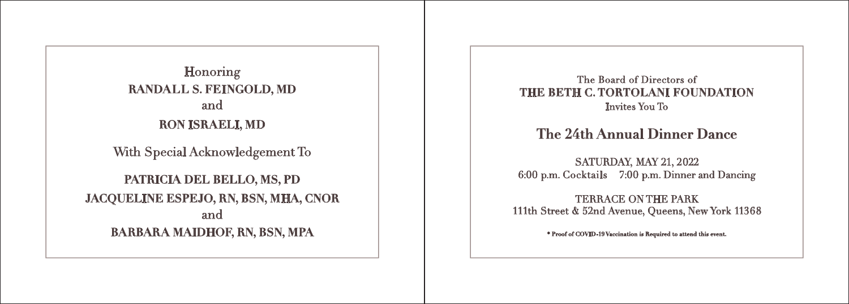With Special Acknowledgement To **PATRICIA DEL BELLO, MS, PD JACQUELINE ESPEJO, RN, BSN, MHA, CNOR** and **BARBARA MAIDHOF, RN, BSN, MPA** Honoring **RANDALL S. FEINGOLD, MD** and **RON ISRAELI, MD The 24th Annual Dinner Dance** 

The Board of Directors of **THE BETH C. TORTOLANI FOUNDATION** Invites You To

SATURDAY, MAY 21, 2022 6:00 p.m. Cocktails 7:00 p.m. Dinner and Dancing

TERRACE ON THE PARK 111th Street & 52nd Avenue, Queens, New York 11368

**\* Proof of COVID-19 Vaccination is Required to attend this event.**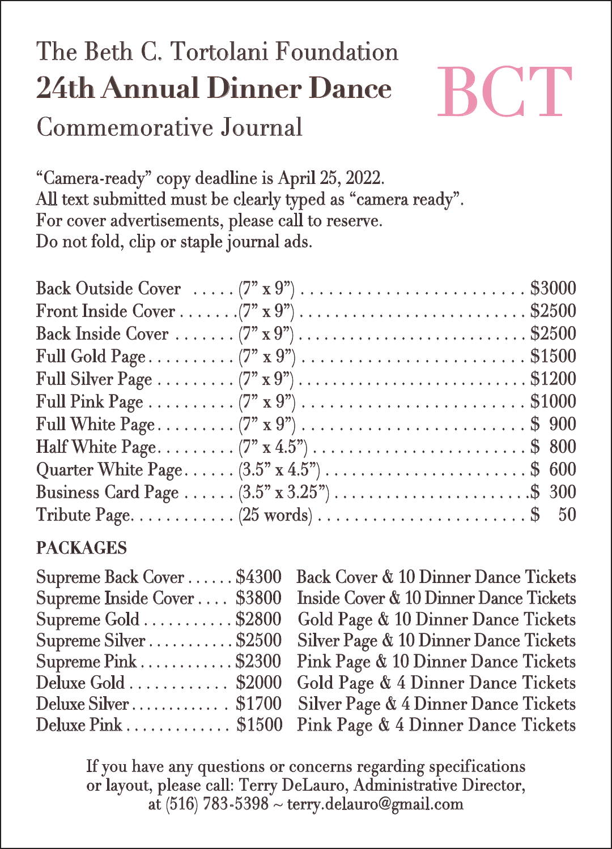# The Beth C. Tortolani Foundation **24th Annual Dinner Dance** Commemorative Journal



"Camera-ready" copy deadline is April 25, 2022. All text submitted must be clearly typed as "camera ready". For cover advertisements, please call to reserve. Do not fold, clip or staple journal ads.

| Back Outside Cover $\ldots$ (7" x 9") $\ldots$ $\ldots$ $\ldots$ $\ldots$ $\ldots$ $\ldots$ $\ldots$ \$3000 |  |
|-------------------------------------------------------------------------------------------------------------|--|
|                                                                                                             |  |
| Back Inside Cover $(7^{n} \times 9^{n})$ \$2500                                                             |  |
| Full Gold Page(7" x 9")  \$1500                                                                             |  |
|                                                                                                             |  |
|                                                                                                             |  |
| Full White Page (7" x 9")  \$ 900                                                                           |  |
| Half White Page (7" x 4.5") \$ 800                                                                          |  |
|                                                                                                             |  |
|                                                                                                             |  |
|                                                                                                             |  |

### **PACKAGES**

| Supreme Back Cover\$4300                             |  |
|------------------------------------------------------|--|
| Supreme Inside Cover \$3800                          |  |
| Supreme Gold $\ldots \ldots \ldots$ \$2800           |  |
| Supreme Silver\$2500                                 |  |
| Supreme $\text{pink} \dots \dots \dots \dots$ \$2300 |  |
| Deluxe Gold \$2000                                   |  |
| Deluxe Silver \$1700                                 |  |
| $D$ eluxe Pink $\ldots \ldots \ldots \ldots$ \$1500  |  |

Back Cover & 10 Dinner Dance Tickets Supreme Back Cover . . . . . . \$4300 Back Cover & 10 Dinner Dance Tickets<br>Supreme Inside Cover . . . . \$3800 Inside Cover & 10 Dinner Dance Tickets Gold Page & 10 Dinner Dance Tickets Silver Page & 10 Dinner Dance Tickets Pink Page & 10 Dinner Dance Tickets Gold Page & 4 Dinner Dance Tickets Silver Page & 4 Dinner Dance Tickets Pink Page & 4 Dinner Dance Tickets

If you have any questions or concerns regarding specifications or layout, please call: Terry DeLauro, Administrative Director, at (516) 783-5398 ~ terry.delauro@gmail.com